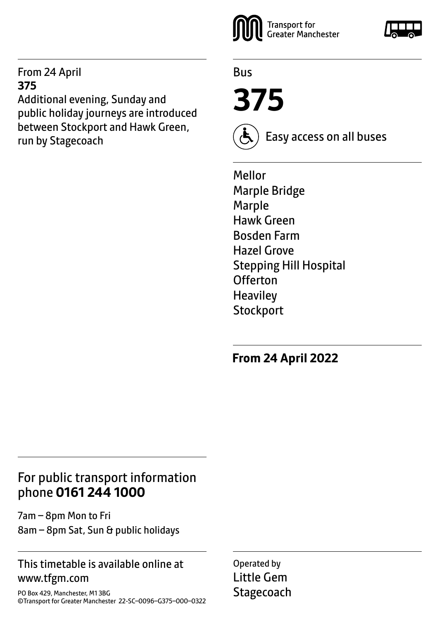#### From 24 April **375**

Additional evening, Sunday and public holiday journeys are introduced between Stockport and Hawk Green, run by Stagecoach  $(\bigtriangleup)$  Easy access on all buses



Bus

**375**



Mellor Marple Bridge Marple Hawk Green Bosden Farm Hazel Grove Stepping Hill Hospital Offerton **Heaviley Stockport** 

**From 24 April 2022**

# For public transport information phone **0161 244 1000**

7am – 8pm Mon to Fri 8am – 8pm Sat, Sun & public holidays

#### This timetable is available online at www.tfgm.com

PO Box 429, Manchester, M1 3BG ©Transport for Greater Manchester 22-SC–0096–G375–000–0322 Operated by Little Gem **Stagecoach** 

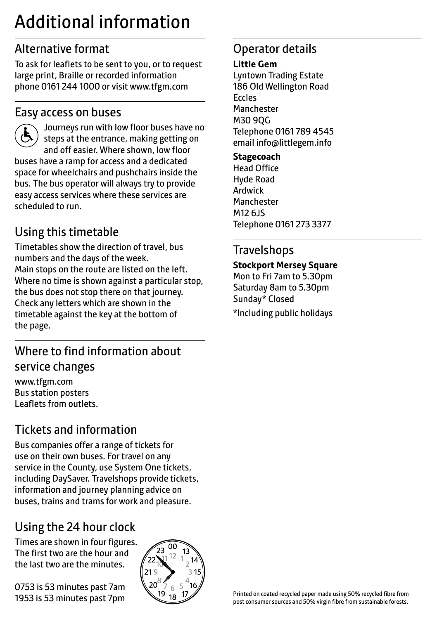# Additional information

# Alternative format

To ask for leaflets to be sent to you, or to request large print, Braille or recorded information phone 0161 244 1000 or visit www.tfgm.com

### Easy access on buses



 Journeys run with low floor buses have no steps at the entrance, making getting on and off easier. Where shown, low floor buses have a ramp for access and a dedicated space for wheelchairs and pushchairs inside the bus. The bus operator will always try to provide easy access services where these services are scheduled to run.

# Using this timetable

Timetables show the direction of travel, bus numbers and the days of the week. Main stops on the route are listed on the left. Where no time is shown against a particular stop, the bus does not stop there on that journey. Check any letters which are shown in the timetable against the key at the bottom of the page.

# Where to find information about service changes

www.tfgm.com Bus station posters Leaflets from outlets.

# Tickets and information

Bus companies offer a range of tickets for use on their own buses. For travel on any service in the County, use System One tickets, including DaySaver. Travelshops provide tickets, information and journey planning advice on buses, trains and trams for work and pleasure.

# Using the 24 hour clock

Times are shown in four figures. The first two are the hour and the last two are the minutes.

0753 is 53 minutes past 7am 1953 is 53 minutes past 7pm



# Operator details

#### **Little Gem**

Lyntown Trading Estate 186 Old Wellington Road Eccles Manchester M30 9QG Telephone 0161 789 4545 email info@littlegem.info

**Stagecoach** Head Office Hyde Road Ardwick **Manchester** M12 6JS Telephone 0161 273 3377

# **Travelshops**

#### **Stockport Mersey Square**

Mon to Fri 7am to 5.30pm Saturday 8am to 5.30pm Sunday\* Closed \*Including public holidays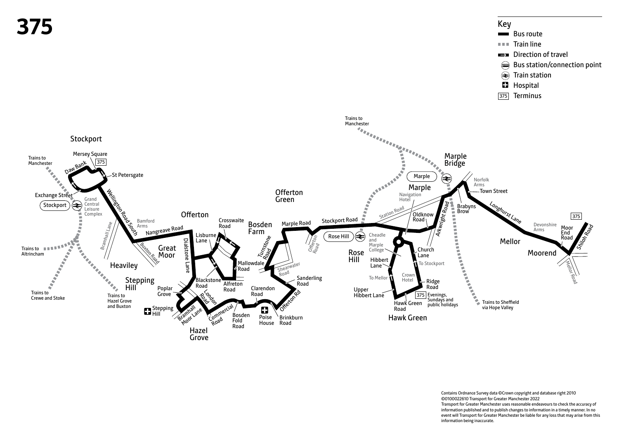

Contains Ordnance Survey data ©Crown copyright and database right 2010 ©0100022610 Transport for Greater Manchester 2022 Transport for Greater Manchester uses reasonable endeavours to check the accuracy of information published and to publish changes to information in a timely manner. In no event will Transport for Greater Manchester be liable for any loss that may arise from this information being inaccurate.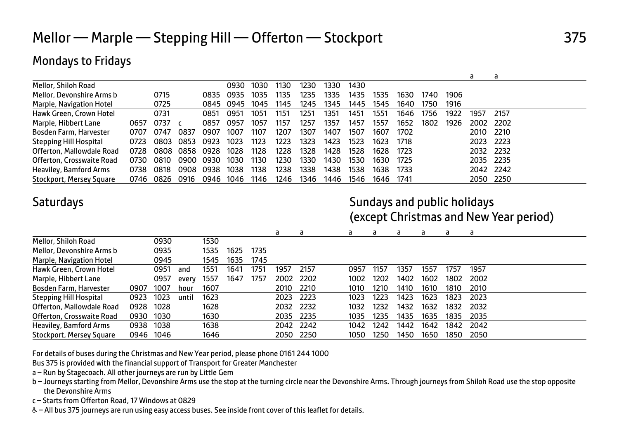# Mondays to Fridays

|                               |      |        |      |      |      |      |      |      |      |      |      |      |      |      | a    | а         |
|-------------------------------|------|--------|------|------|------|------|------|------|------|------|------|------|------|------|------|-----------|
| Mellor, Shiloh Road           |      |        |      |      | 0930 | 1030 | 1130 | 1230 | 1330 | 1430 |      |      |      |      |      |           |
| Mellor, Devonshire Arms b     |      | 0715   |      | 0835 | 0935 | 1035 | 1135 | 1235 | 1335 | 1435 | 1535 | 1630 | 1740 | 1906 |      |           |
| Marple, Navigation Hotel      |      | 0725   |      | 0845 | 0945 | 1045 | 1145 | 1245 | 1345 | 1445 | 1545 | 1640 | 1750 | 1916 |      |           |
| Hawk Green, Crown Hotel       |      | 0731   |      | 0851 | 0951 | 1051 | 1151 | 1251 | 1351 | 1451 | 1551 | 1646 | 1756 | 1922 | 1957 | 2157      |
| Marple, Hibbert Lane          | 0657 | 0737 c |      | 0857 | 0957 | 1057 | 1157 | 1257 | 1357 | 1457 | 1557 | 1652 | 1802 | 1926 | 2002 | 2202      |
| Bosden Farm, Harvester        | 0707 | 0747   | 0837 | 0907 | 1007 | 1107 | 1207 | 1307 | 1407 | 1507 | 1607 | 1702 |      |      | 2010 | 2210      |
| <b>Stepping Hill Hospital</b> | 0723 | 0803   | 0853 | 0923 | 1023 | 1123 | 1223 | 1323 | 1423 | 1523 | 1623 | 1718 |      |      | 2023 | 2223      |
| Offerton, Mallowdale Road     | 0728 | 0808   | 0858 | 0928 | 1028 | 1128 | 1228 | 1328 | 1428 | 1528 | 1628 | 1723 |      |      | 2032 | 2232      |
| Offerton, Crosswaite Road     | 0730 | 0810   | 0900 | 0930 | 1030 | 1130 | 1230 | 1330 | 1430 | 1530 | 1630 | 1725 |      |      | 2035 | 2235      |
| Heaviley, Bamford Arms        | 0738 | 0818   | 0908 | 0938 | 1038 | 1138 | 1238 | 1338 | 1438 | 1538 | 1638 | 1733 |      |      |      | 2042 2242 |
| Stockport, Mersey Square      | 0746 | 0826   | 0916 | 0946 | 1046 | 1146 | 1246 | 1346 | 1446 | 1546 | 1646 | 1741 |      |      | 2050 | 2250      |

### Saturdays **Saturdays** Saturdays and public holidays and public holidays (except Christmas and New Year period)

|                               |           |      |       |      |      |      | a         | a         | a    | d    | a    | a    | a    | a    |  |
|-------------------------------|-----------|------|-------|------|------|------|-----------|-----------|------|------|------|------|------|------|--|
| Mellor, Shiloh Road           |           | 0930 |       | 1530 |      |      |           |           |      |      |      |      |      |      |  |
| Mellor, Devonshire Arms b     |           | 0935 |       | 1535 | 1625 | 1735 |           |           |      |      |      |      |      |      |  |
| Marple, Navigation Hotel      |           | 0945 |       | 1545 | 1635 | 1745 |           |           |      |      |      |      |      |      |  |
| Hawk Green, Crown Hotel       |           | 0951 | and   | 1551 | 1641 | 1751 | 1957      | 2157      | 0957 | 1157 | 1357 | 1557 | 1757 | 1957 |  |
| Marple, Hibbert Lane          |           | 0957 | every | 1557 | 1647 | 1757 | 2002 2202 |           | 1002 | 1202 | 1402 | 1602 | 1802 | 2002 |  |
| Bosden Farm, Harvester        | 0907      | 1007 | hour  | 1607 |      |      | 2010      | 2210      | 1010 | 1210 | 1410 | 1610 | 1810 | 2010 |  |
| <b>Stepping Hill Hospital</b> | 0923      | 1023 | until | 1623 |      |      | 2023      | 2223      | 1023 | 1223 | 1423 | 1623 | 1823 | 2023 |  |
| Offerton, Mallowdale Road     | 0928      | 1028 |       | 1628 |      |      | 2032 2232 |           | 1032 | 1232 | 1432 | 1632 | 1832 | 2032 |  |
| Offerton, Crosswaite Road     | 0930      | 1030 |       | 1630 |      |      | 2035 2235 |           | 1035 | 1235 | 1435 | 1635 | 1835 | 2035 |  |
| Heaviley, Bamford Arms        | 0938      | 1038 |       | 1638 |      |      | 2042 2242 |           | 1042 | 1242 | 1442 | 1642 | 1842 | 2042 |  |
| Stockport, Mersey Square      | 0946 1046 |      |       | 1646 |      |      |           | 2050 2250 | 1050 | 1250 | 1450 | 1650 | 1850 | 2050 |  |

For details of buses during the Christmas and New Year period, please phone 0161 244 1000

Bus 375 is provided with the financial support of Transport for Greater Manchester

- a Run by Stagecoach. All other journeys are run by Little Gem
- b Journeys starting from Mellor, Devonshire Arms use the stop at the turning circle near the Devonshire Arms. Through journeys from Shiloh Road use the stop opposite the Devonshire Arms
- c Starts from Offerton Road, 17 Windows at 0829
- W– All bus 375 journeys are run using easy access buses. See inside front cover of this leaflet for details.